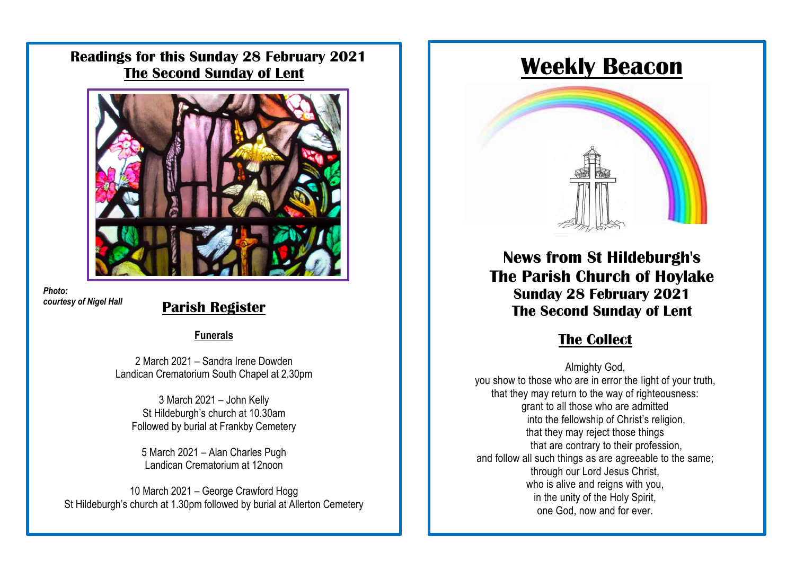**Readings for this Sunday 28 February 2021 The Second Sunday of Lent**



*Photo: courtesy of Nigel Hall*

# courtesy of Nigel Hall **Parish Register**

### **Funerals**

The Church Centre remains closed for the time being. 2 March 2021 – Sandra Irene Dowden Landican Crematorium South Chapel at 2.30pm

> 3 March 2021 – John Kelly St Hildeburgh's church at 10.30am Followed by burial at Frankby Cemetery

5 March 2021 – Alan Charles Pugh Landican Crematorium at 12noon

10 March 2021 – George Crawford Hogg St Hildeburgh's church at 1.30pm followed by burial at Allerton Cemetery

# **Weekly Beacon**



**News from St Hildeburgh's The Parish Church of Hoylake Sunday 28 February 2021 The Second Sunday of Lent**

## $**The** **Collect**$ </u>

Almighty God, you show to those who are in error the light of your truth, that they may return to the way of righteousness: grant to all those who are admitted into the fellowship of Christ's religion, that they may reject those things that are contrary to their profession, and follow all such things as are agreeable to the same; through our Lord Jesus Christ, who is alive and reigns with you, in the unity of the Holy Spirit, one God, now and for ever.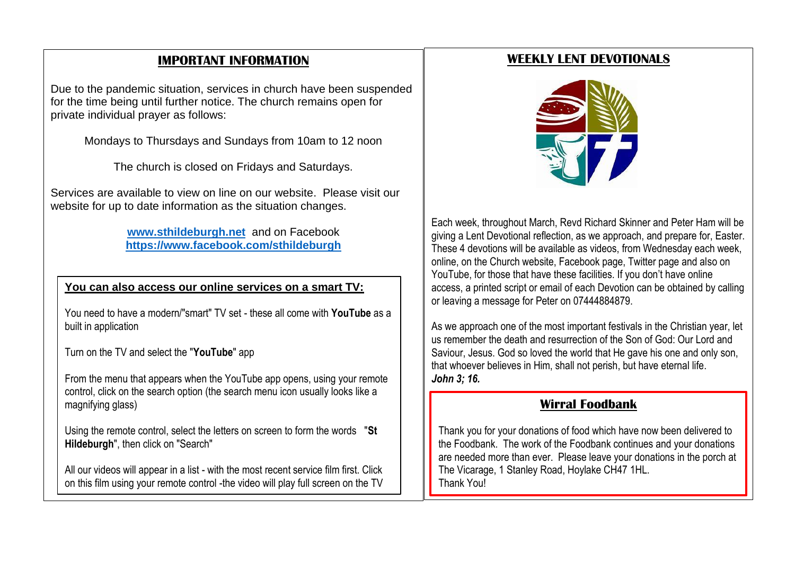### **IMPORTANT INFORMATION**

Due to the pandemic situation, services in church have been suspended for the time being until further notice. The church remains open for private individual prayer as follows:

Mondays to Thursdays and Sundays from 10am to 12 noon

The church is closed on Fridays and Saturdays.

Services are available to view on line on our website. Please visit our website for up to date information as the situation changes.

> **[www.sthildeburgh.net](http://www.sthildeburgh.net/)** and on Facebook **<https://www.facebook.com/sthildeburgh>**

### **You can also access our online services on a smart TV:**

You need to have a modern/"smart" TV set - these all come with **YouTube** as a built in application

Turn on the TV and select the "**YouTube**" app

From the menu that appears when the YouTube app opens, using your remote control, click on the search option (the search menu icon usually looks like a magnifying glass)

Using the remote control, select the letters on screen to form the words "**St Hildeburgh**", then click on "Search"

All our videos will appear in a list - with the most recent service film first. Click on this film using your remote control -the video will play full screen on the TV

### **WEEKLY LENT DEVOTIONALS**



giving a Lent Devotional reflection, as we approach, and prepare for, Easter. online, on the Church website, Facebook page, Twitter page and also on YouTube, for those that have these facilities. If you don't have online<br>concept a printed exist as applicational Development has abbeined by access, a primed script of email of each Devolion can be obtaine<br>or leaving a message for Peter on 07444884879.  $\frac{1}{2}$  interesting a medicing when the term of the YouTube appears. Each week, throughout March, Revd Richard Skinner and Peter Ham will be These 4 devotions will be available as videos, from Wednesday each week, access, a printed script or email of each Devotion can be obtained by calling

As we approach one of the most important festivals in the Christian year, let us remember the death and resurrection of the Son of God: Our Lord and Saviour, Jesus. God so loved the world that He gave his one and only son, that whoever believes in Him, shall not perish, but have eternal life.<br>Lake 2:46 to form the words "**St Hildeburgh**", then click on *John 3; 16.* 

### • All our videos will appear in a list - with the most **Wirral Foodbank**

Thank you for your donations of food which have now been delivered to the Foodbank. The work of the Foodbank continues and your donations are needed more than ever. Please leave your donations in the porch at The Vicarage, 1 Stanley Road, Hoylake CH47 1HL. Thank You!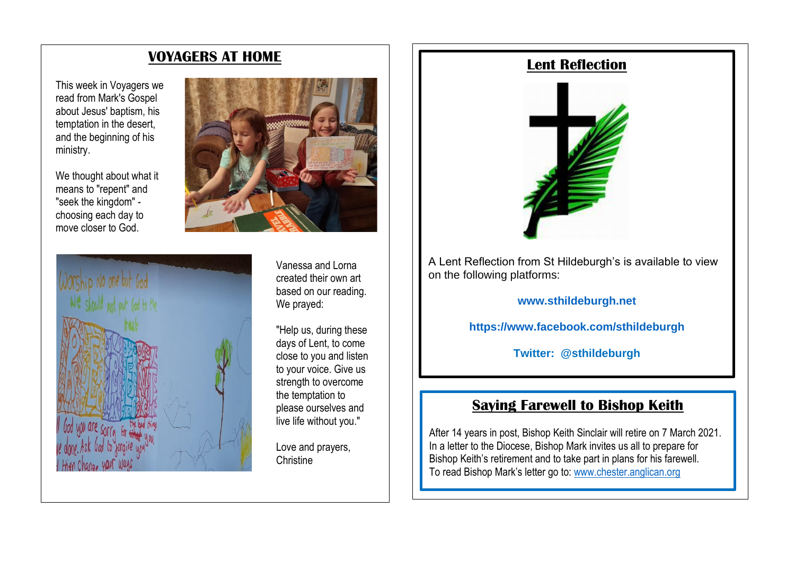### **VOYAGERS AT HOME**

This week in Voyagers we read from Mark's Gospel about Jesus' baptism, his temptation in the desert, and the beginning of his ministry.

We thought about what it means to "repent" and "seek the kingdom" choosing each day to move closer to God.



Vanessa and Lorna created their own art based on our reading. We prayed:

"Help us, during these days of Lent, to come close to you and listen to your voice. Give us strength to overcome the temptation to please ourselves and live life without you."

Love and prayers, **Christine** 

# **Lent Reflection**



A Lent Reflection from St Hildeburgh's is available to view on the following platforms:

**[www.sthildeburgh.net](http://www.sthildeburgh.net/)**

**<https://www.facebook.com/sthildeburgh>**

**Twitter: @sthildeburgh**

### **Saying Farewell to Bishop Keith**

After 14 years in post, Bishop Keith Sinclair will retire on 7 March 2021. In a letter to the Diocese, Bishop Mark invites us all to prepare for Bishop Keith's retirement and to take part in plans for his farewell. To read Bishop Mark's letter go to[: www.chester.anglican.org](http://www.chester.anglican.org/)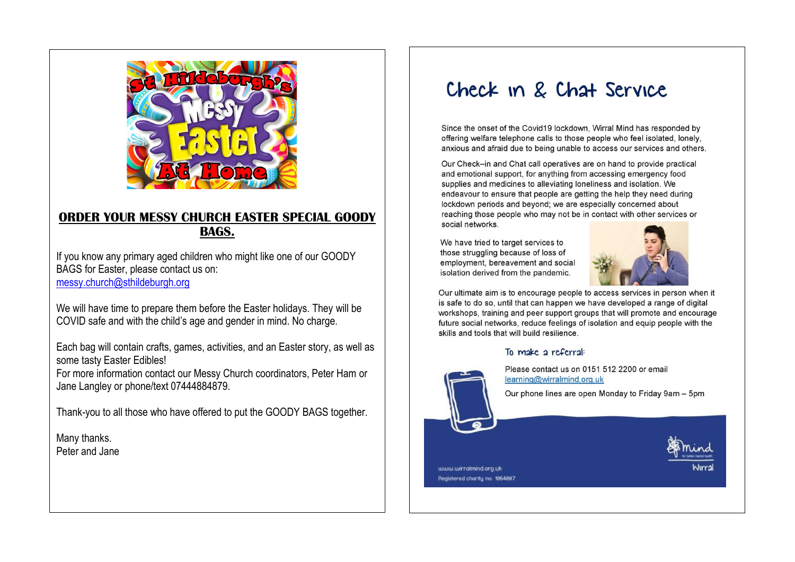

### **ORDER YOUR MESSY CHURCH EASTER SPECIAL GOODY BAGS.**

If you know any primary aged children who might like one of our GOODY BAGS for Easter, please contact us on: [messy.church@sthildeburgh.org](mailto:messy.church@sthildeburgh.org)

We will have time to prepare them before the Easter holidays. They will be COVID safe and with the child's age and gender in mind. No charge.

Each bag will contain crafts, games, activities, and an Easter story, as well as some tasty Easter Edibles!

For more information contact our Messy Church coordinators, Peter Ham or Jane Langley or phone/text 07444884879.

Thank-you to all those who have offered to put the GOODY BAGS together.

Many thanks. Peter and Jane

# Check in & Chat Service

Since the onset of the Covid19 lockdown, Wirral Mind has responded by offering welfare telephone calls to those people who feel isolated, lonely. anxious and afraid due to being unable to access our services and others.

Our Check-in and Chat call operatives are on hand to provide practical and emotional support, for anything from accessing emergency food supplies and medicines to alleviating loneliness and isolation. We endeavour to ensure that people are getting the help they need during lockdown periods and beyond; we are especially concerned about reaching those people who may not be in contact with other services or social networks.

We have tried to target services to those struggling because of loss of employment, bereavement and social isolation derived from the pandemic.



Our ultimate aim is to encourage people to access services in person when it is safe to do so, until that can happen we have developed a range of digital workshops, training and peer support groups that will promote and encourage future social networks, reduce feelings of isolation and equip people with the skills and tools that will build resilience.

#### To make a referral:



Please contact us on 0151 512 2200 or email learning@wirralmind.org.uk

Our phone lines are open Monday to Friday 9am - 5pm

www.wirralmind.org.uk Registered charity no. 1854887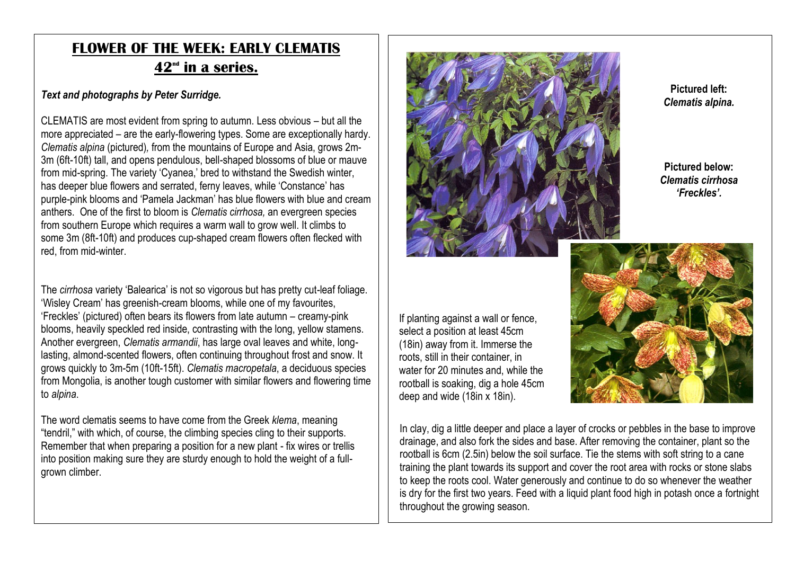# **FLOWER OF THE WEEK: EARLY CLEMATIS**  $42<sup>nd</sup>$  in a series.

### *Text and photographs by Peter Surridge.*

CLEMATIS are most evident from spring to autumn. Less obvious – but all the more appreciated – are the early-flowering types. Some are exceptionally hardy. *Clematis alpina* (pictured)*,* from the mountains of Europe and Asia, grows 2m-3m (6ft-10ft) tall, and opens pendulous, bell-shaped blossoms of blue or mauve from mid-spring. The variety 'Cyanea,' bred to withstand the Swedish winter, has deeper blue flowers and serrated, ferny leaves, while 'Constance' has purple-pink blooms and 'Pamela Jackman' has blue flowers with blue and cream anthers. One of the first to bloom is *Clematis cirrhosa,* an evergreen species from southern Europe which requires a warm wall to grow well. It climbs to some 3m (8ft-10ft) and produces cup-shaped cream flowers often flecked with red, from mid-winter.

The *cirrhosa* variety 'Balearica' is not so vigorous but has pretty cut-leaf foliage. 'Wisley Cream' has greenish-cream blooms, while one of my favourites, 'Freckles' (pictured) often bears its flowers from late autumn – creamy-pink blooms, heavily speckled red inside, contrasting with the long, yellow stamens. Another evergreen, *Clematis armandii*, has large oval leaves and white, longlasting, almond-scented flowers, often continuing throughout frost and snow. It grows quickly to 3m-5m (10ft-15ft). *Clematis macropetala*, a deciduous species from Mongolia, is another tough customer with similar flowers and flowering time to *alpina*.

The word clematis seems to have come from the Greek *klema*, meaning "tendril," with which, of course, the climbing species cling to their supports. Remember that when preparing a position for a new plant - fix wires or trellis into position making sure they are sturdy enough to hold the weight of a fullgrown climber.



**Pictured left:** *Clematis alpina.*

**Pictured below:** *Clematis cirrhosa 'Freckles'.*

If planting against a wall or fence, select a position at least 45cm (18in) away from it. Immerse the roots, still in their container, in water for 20 minutes and, while the rootball is soaking, dig a hole 45cm deep and wide (18in x 18in).



In clay, dig a little deeper and place a layer of crocks or pebbles in the base to improve drainage, and also fork the sides and base. After removing the container, plant so the rootball is 6cm (2.5in) below the soil surface. Tie the stems with soft string to a cane training the plant towards its support and cover the root area with rocks or stone slabs to keep the roots cool. Water generously and continue to do so whenever the weather is dry for the first two years. Feed with a liquid plant food high in potash once a fortnight throughout the growing season.